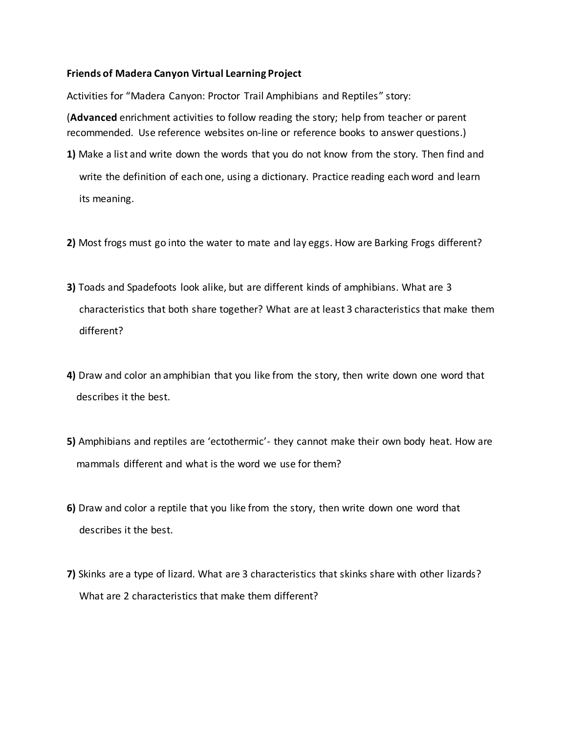## **Friends of Madera Canyon Virtual Learning Project**

Activities for "Madera Canyon: Proctor Trail Amphibians and Reptiles" story:

(**Advanced** enrichment activities to follow reading the story; help from teacher or parent recommended. Use reference websites on-line or reference books to answer questions.)

- **1)** Make a list and write down the words that you do not know from the story. Then find and write the definition of each one, using a dictionary. Practice reading each word and learn its meaning.
- **2)** Most frogs must go into the water to mate and lay eggs. How are Barking Frogs different?
- **3)** Toads and Spadefoots look alike, but are different kinds of amphibians. What are 3 characteristics that both share together? What are at least 3 characteristics that make them different?
- **4)** Draw and color an amphibian that you like from the story, then write down one word that describes it the best.
- **5)** Amphibians and reptiles are 'ectothermic'- they cannot make their own body heat. How are mammals different and what is the word we use for them?
- **6)** Draw and color a reptile that you like from the story, then write down one word that describes it the best.
- **7)** Skinks are a type of lizard. What are 3 characteristics that skinks share with other lizards? What are 2 characteristics that make them different?